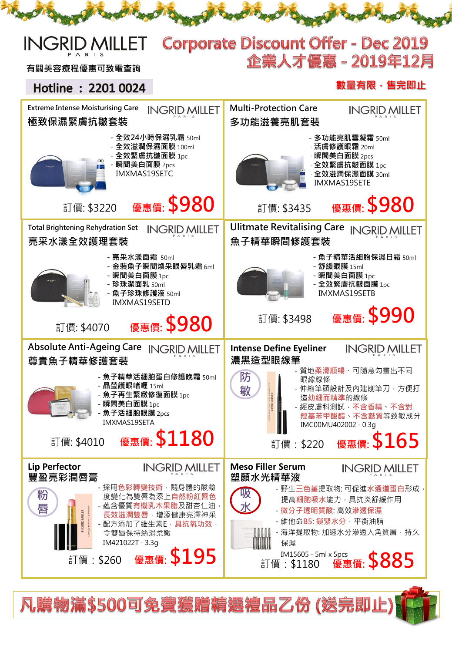#### **Corporate Discount Offer - Dec 2019 INGRII NILLET** 企業人才優惠 - 2019年12月 有關美容療程優惠可致電查詢

## Hotline: 2201 0024

### 數量有限,售完即止



凡購物滿\$500可免費獲贈精選禮品乙份 (送完即止)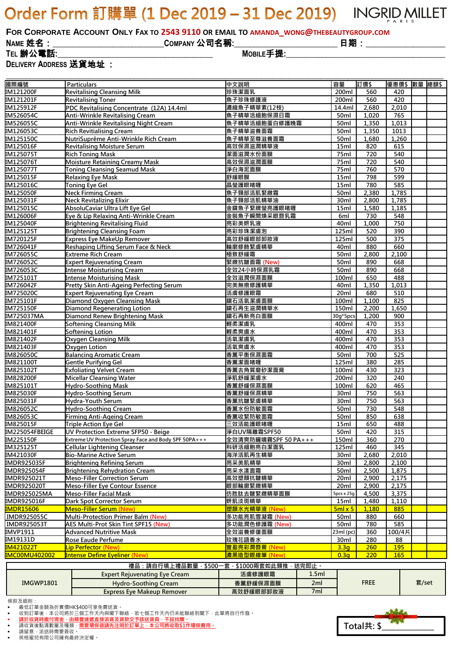# Order Form 訂購單 (1 Dec 2019 - 31 Dec 2019) INGRID MILLET

FOR CORPORATE ACCOUNT ONLY FAX TO 2543 9110 OR EMAIL TO AMANDA WONG@THEBEAUTYGROUP.COM

**NAME** 姓名:**\_\_\_\_\_\_\_\_\_\_\_\_\_\_\_\_\_\_\_\_\_\_\_\_\_\_\_\_COMPANY** 公司名稱**:\_\_\_\_\_\_\_\_\_\_\_\_\_\_\_\_\_\_\_\_\_\_\_\_\_\_** 日期:**\_\_\_\_\_\_\_\_\_\_\_\_\_\_\_\_\_\_\_\_**

**TEL** 辦公電話**:\_\_\_\_\_\_\_\_\_\_\_\_\_\_\_\_\_\_\_\_\_\_\_\_\_\_\_\_\_\_\_\_\_\_\_\_\_\_\_ MOBILE**手提**:\_\_\_\_\_\_\_\_\_\_\_\_\_\_\_\_\_\_\_\_\_\_\_\_\_\_\_\_\_\_\_\_\_\_\_\_\_\_\_\_ DELIVERY ADDRESS** 送貨地址 :

**\_\_\_\_\_\_\_\_\_\_\_\_\_\_\_\_\_\_\_\_\_\_\_\_\_\_\_\_\_\_\_\_\_\_\_\_\_\_\_\_\_\_\_\_\_\_\_\_\_\_\_\_\_\_\_\_\_\_\_\_\_\_\_\_\_\_\_\_\_\_\_\_\_\_\_\_\_\_\_\_\_\_\_\_\_\_\_\_\_\_\_\_\_\_\_\_\_\_\_\_\_\_\_\_\_\_\_\_\_\_ 連品·請自行植上遭品數量,\$500一套,\$1000兩套如此類推,送完即止。** 國際編號 Particulars 中文說明 容量 訂價\$ 優惠價\$ 數量 總額\$ IM121200F Revitalising Cleansing Milk 珍珠潔面乳 200ml 560 420 IM121201F Revitalising Toner 魚子珍珠修護液 200ml | 560 | 420 IM125912F PDC Revitalising Concentrate (12A) 14.4ml 濃縮魚子精華素(12枝) 2,680 2,010 IM526054C Anti-Wrinkle Revitalising Cream 魚子精華活細胞保濕日霜 50ml 1,020 765 IM526055C Anti-Wrinkle Revitalising Night Cream 魚子精華活細胞蛋白修護晚霜 50ml 1,350 1,013 IM126053C Rich Revitialising Cream 魚子精華滋養面霜 50ml 1,350 1013 IM125150C NutriSuprême Anti-Wrinkle Rich Cream 魚子精華至尊滋養面霜 50ml 1,680 1,260 IM125016F Revitalising Moisture Serum 高效保濕滋潤精華液 820 615 IM125075T Rich Toning Mask 潔面滋潤水份面膜 75ml 720 540 IM125076T Moisture Retaining Creamy Mask 高效保濕滋潤面膜 75ml 720 540 IM125077T Toning Cleansing Seamud Mask 淨白海泥面膜 75ml 760 570 IM125015F Relaxing Eye Mask 舒緩眼膜 15ml 798 599 IM125016C Toning Eye Gel 晶瑩護眼啫喱 15ml 780 585 IM125050F Neck Firming Cream 魚子頸部活肌緊緻霜 50ml 2,380 1,785 IM125031F Neck Revitalizing Elixir 魚子頸部活肌精華油 30ml 2,800 1,785 IM125015C AbsoluCaviar Ultra Lift Eye Gel 金鑽魚子緊緻瑩亮護眼啫喱 15ml 1,580 1,185 IM126006F Pere & Lip Relaxing Anti-Wrinkle Cream - 全装魚子瞬間煥采眼唇乳霜 | 6ml | 730 | 548 IM125040F Brightening Revitalising Fluid 亮彩美妍乳液 40ml | 1,000 | 750 IM125125T Brightening Cleansing Foam 亮彩珍珠潔膚泡 520 390 IM720125F 高效舒緩眼部卸妝液 500 375 IM726041F Reshaping Lifting Serum Face & Neck 輪廓修飾緊膚精華 880 660 IM726055C Extreme Rich Cream 極致舒緩霜 50ml 2,800 2,100 IM726052C Expert Rejuvenating Cream 緊緻抗皺面霜 (New) 50ml 890 668 IM726053C Intense Moisturising Cream 全效24小時保濕乳霜 50ml 890 668 IM725101T <mark>I</mark>ntense Moisturising Mask 全效滋潤保濕面膜 488 IM726042F Pretty Skin Anti-Ageing Perfecting Serum 完美無痕修護精華 40ml 1,350 1,013 IM725020C Expert Rejuvenating Eye Cream 活膚修護眼霜 20ml | 680 510 IM725101F Diamond Oxygen Cleansing Mask 鑽石活氧潔膚面膜 100ml 1,100 825 IM725150F | 150ml | 2,200 | 1,650 IM725037MA Diamond Renew Brightening Mask 鑽石再新亮白面膜 30g\*5pcs 1,200 900 IM821400F Softening Cleansing Milk 輕柔潔膚乳 | 400ml | 470 | 353 IM821401F Softening Lotion 輕柔爽膚水 400ml 470 353 IM821402F 活氧潔膚乳 353 IM821403F Oxygen Lotion 活氧爽膚水 400ml 470 353 IM826050C Balancing Aromatic Cream 香薰平衡保濕面霜 50ml 700 525 IM821100T Gentle Purifying Gel 香薰潔面啫喱 125ml 380 285 IM825102T Exfoliating Velvet Cream 香薰去角質磨砂潔面膏 100ml 430 323 IM828200F Micellar Cleansing Water 淨肌舒緩潔膚水 200ml 320 240 IM825101T Hydro-Soothing Mask 香薰舒緩保濕面膜 100ml 620 465 IM825030F Hydro-Soothing Serum 香薰舒緩保濕精華 30ml 750 563 IM825031F Hydra-Youth Serum 香薰抗皺緊膚精華 30ml 750 563 IM826052C Hydro-Soothing Cream 香薰水份防敏面霜 50ml 730 548 IM826053C Firming Anti-Ageing Cream 50ml 850 638 IM825015F Triple Action Eye Gel 三效活能護眼啫喱 15ml 650 488 IM225054FBEIGE UV Protection Extreme SFP50 - Beige 50ml 420 315 IM225150F Extreme UV Protection Spray Face and Body SPF 50PA+++ 全效清爽防曬噴霧SPF 50 PA+++ 150ml 360 270 IM325125T Cellular Lightening Cleanser インタンド および および および おおもの おおもの さんじょう インタン インタン さんじょう こうしょう さんじょう こうしょう こうしょう IM421030F Bio-Marine Active Serum 海洋活肌再生精華 30ml 2,680 2,010 IMDR925035F Brightening Refining Serum 亮采美肌精華 30ml 2,800 2,100 IMDR925054F Brightening Rehydration Cream 50ml | 2,500 | 1,875 IMDR925021T Meso-Filler Correction Serum 高效塑顔抗皺精華 20ml 2,900 2,175 IMDR925020T Meso-Filler Eye Contour Essence 眼部輪廓緊緻精華 20ml 2,900 2,175 IMDR925025MA Meso-Filler Facial Mask 仿胜肽去皺緊緻精華面膜 | spcs x 25g | 4,500 | 3,375 IMDR925016F Dark Spot Corrector Serum 妍肌淡斑精華 1,480 1,110 IMeso-Filler Serum (New) 塑顏水光精華液 (New) <mark>5ml x 5 | 1,180 | 885</mark> IMDR925055C Multi-Protection Primer Balm (New) 多功能亮肌雪凝霜 (New) 50ml 880 660 IMDR925053T AES Multi-Prot Skin Tint SPF15 (New) 多功能潤色修護霜 (New) 50ml | 780 | 585 IMVP1911 Advanced Nutritive Mask 全效滋養修復面膜 23ml (pc) 360 100/4片 IM19131D Rose Eaude Perfume 玫瑰花語香水 30ml 280 88 IM421022T Lip Perfector (New) 豐盈亮彩潤唇膏 (New) 3.3g 260 195 IMC00MU402002 Intense Define Eyeliner (New) 濃黑造型眼線筆 (New) 0.3g 220 165

|                  | 15.00 . 明日 1.7先工15.00 致生<br>ັບບບ     | -<br>- リエソソソ 門 ナナメドルレスメリエ | ๛๛๛   |             |       |
|------------------|--------------------------------------|---------------------------|-------|-------------|-------|
| <b>IMGWP1801</b> | <b>Expert Rejuvenating Eye Cream</b> | 活膚修護眼霜                    | 1.5ml |             | 套/set |
|                  | Hydro-Soothing Cream                 | 香薰舒緩保濕面膜                  | 2ml   | <b>FREE</b> |       |
|                  | <b>Express Eve Makeup Remover</b>    | 高效舒緩眼部卸妝液                 | 7ml   |             |       |
|                  |                                      |                           |       |             |       |

條款及細則:

收到訂單後,本公司將於三個工作天內與閣下聯絡,若七個工作天內仍未能聯絡到閣下,此單將自行作廢。

請留意,派送時需要簽收。

英格蜜兒有限公司擁有最終決定權。



最低訂單金額為折實價HK\$400可享免費送貨。

<sup>■</sup> 請於收貨時繳付現金,由順豐速遞直接派貨及貨款交予該送貨員,不設找贖。<br>■ 請收貨後點清數量及種類,需要環保袋請先注明於訂單上,本公司將收取\$1作環保費用。